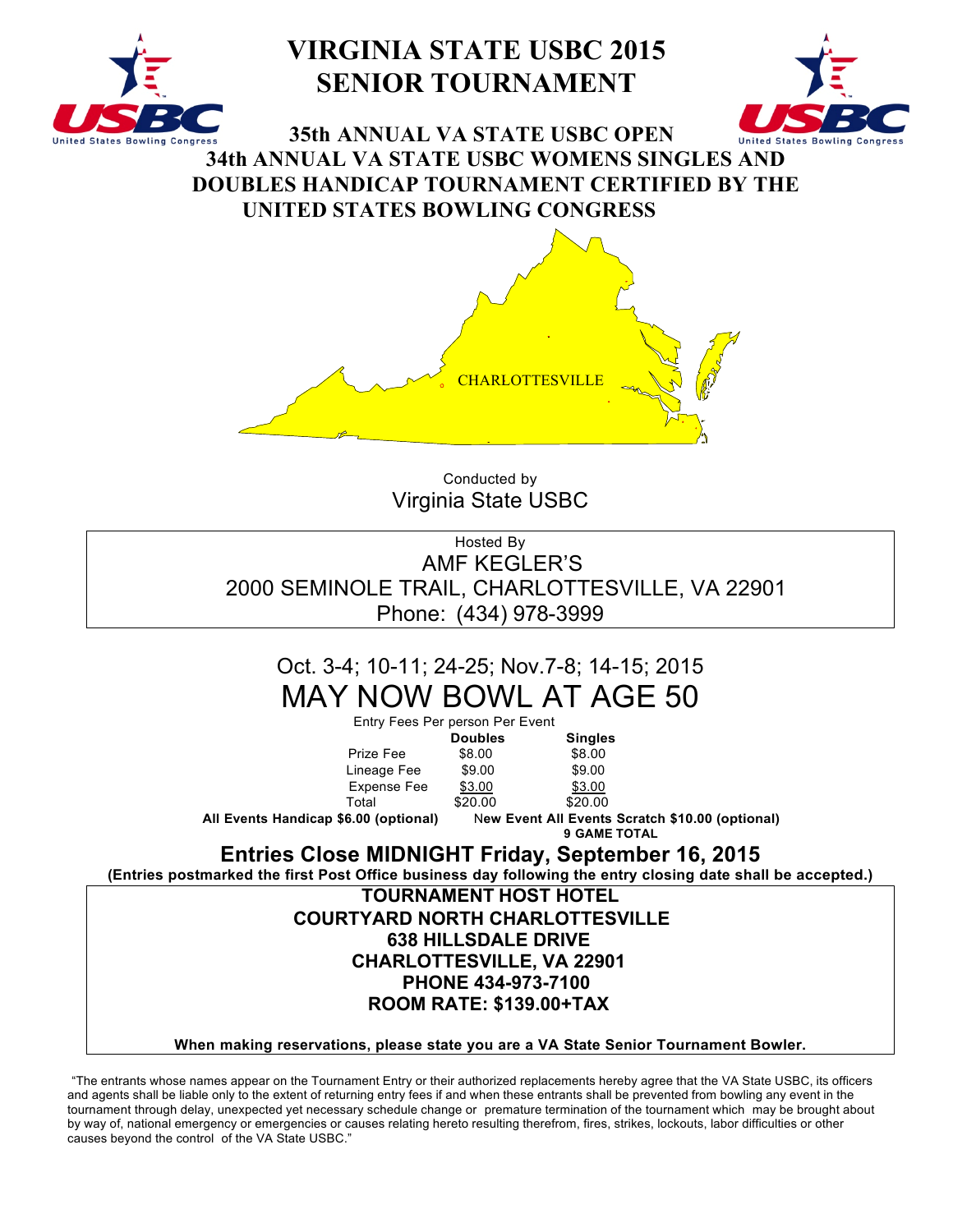

# **VIRGINIA STATE USBC 2015 SENIOR TOURNAMENT**



**35th ANNUAL VA STATE USBC OPEN 34th ANNUAL VA STATE USBC WOMENS SINGLES AND DOUBLES HANDICAP TOURNAMENT CERTIFIED BY THE UNITED STATES BOWLING CONGRESS**



Conducted by Virginia State USBC

Hosted By AMF KEGLER'S 2000 SEMINOLE TRAIL, CHARLOTTESVILLE, VA 22901 Phone: (434) 978-3999

# Oct. 3-4; 10-11; 24-25; Nov.7-8; 14-15; 2015 MAY NOW BOWL AT AGE 50

Entry Fees Per person Per Event **Doubles Singles** Prize Fee \$8.00 \$8.00<br>
Lineage Fee \$9.00 \$9.00 Lineage Fee \$9.00 Expense Fee \$3.00 \$3.00 Total \$20.00 \$20.00 **All Events Handicap \$6.00 (optional)** N**ew Event All Events Scratch \$10.00 (optional) 9 GAME TOTAL Entries Close MIDNIGHT Friday, September 16, 2015**

**(Entries postmarked the first Post Office business day following the entry closing date shall be accepted.)**

**TOURNAMENT HOST HOTEL**

### **COURTYARD NORTH CHARLOTTESVILLE 638 HILLSDALE DRIVE CHARLOTTESVILLE, VA 22901 PHONE 434-973-7100 ROOM RATE: \$139.00+TAX**

**When making reservations, please state you are a VA State Senior Tournament Bowler.**

"The entrants whose names appear on the Tournament Entry or their authorized replacements hereby agree that the VA State USBC, its officers and agents shall be liable only to the extent of returning entry fees if and when these entrants shall be prevented from bowling any event in the tournament through delay, unexpected yet necessary schedule change or premature termination of the tournament which may be brought about by way of, national emergency or emergencies or causes relating hereto resulting therefrom, fires, strikes, lockouts, labor difficulties or other causes beyond the control of the VA State USBC."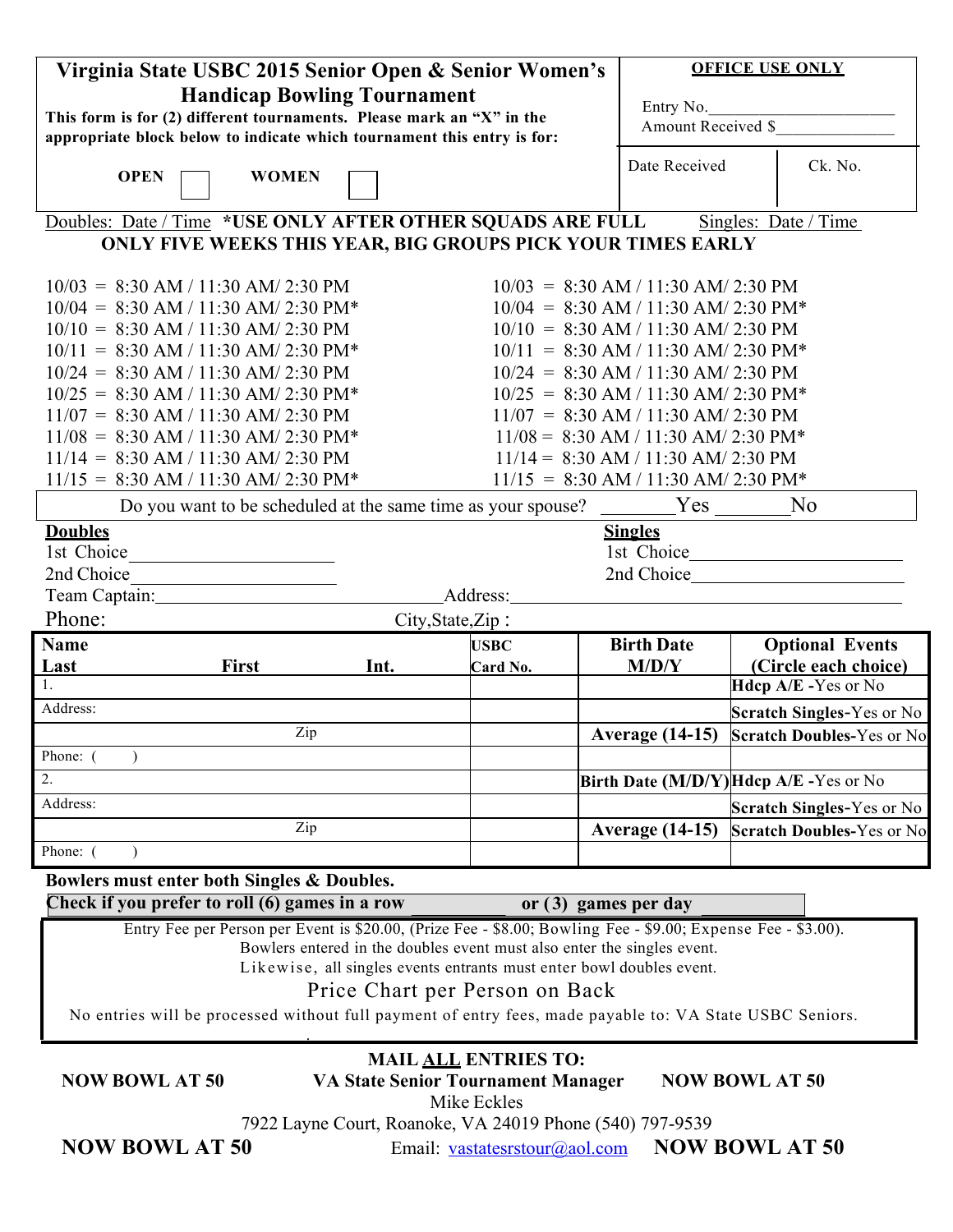|                                                                         | Virginia State USBC 2015 Senior Open & Senior Women's                                                        |                                                                                                                                                 |                             |                                                                                 | <b>OFFICE USE ONLY</b>                                                                                                                                                |  |  |
|-------------------------------------------------------------------------|--------------------------------------------------------------------------------------------------------------|-------------------------------------------------------------------------------------------------------------------------------------------------|-----------------------------|---------------------------------------------------------------------------------|-----------------------------------------------------------------------------------------------------------------------------------------------------------------------|--|--|
|                                                                         | <b>Handicap Bowling Tournament</b>                                                                           |                                                                                                                                                 |                             |                                                                                 |                                                                                                                                                                       |  |  |
| This form is for (2) different tournaments. Please mark an "X" in the   |                                                                                                              |                                                                                                                                                 |                             |                                                                                 | Entry No.<br>Amount Received \$                                                                                                                                       |  |  |
| appropriate block below to indicate which tournament this entry is for: |                                                                                                              |                                                                                                                                                 |                             |                                                                                 |                                                                                                                                                                       |  |  |
| <b>OPEN</b>                                                             | <b>WOMEN</b>                                                                                                 | Date Received                                                                                                                                   | Ck. No.                     |                                                                                 |                                                                                                                                                                       |  |  |
|                                                                         | Doubles: Date / Time *USE ONLY AFTER OTHER SQUADS ARE FULL                                                   |                                                                                                                                                 |                             |                                                                                 | Singles: Date / Time                                                                                                                                                  |  |  |
|                                                                         | ONLY FIVE WEEKS THIS YEAR, BIG GROUPS PICK YOUR TIMES EARLY                                                  |                                                                                                                                                 |                             |                                                                                 |                                                                                                                                                                       |  |  |
|                                                                         |                                                                                                              |                                                                                                                                                 |                             |                                                                                 |                                                                                                                                                                       |  |  |
|                                                                         | $10/03 = 8:30$ AM / 11:30 AM/ 2:30 PM                                                                        |                                                                                                                                                 |                             | $10/03 = 8:30$ AM / 11:30 AM/ 2:30 PM                                           |                                                                                                                                                                       |  |  |
|                                                                         | $10/04 = 8:30$ AM / 11:30 AM/ 2:30 PM*                                                                       |                                                                                                                                                 |                             | $10/04 = 8:30$ AM / 11:30 AM/ 2:30 PM*                                          |                                                                                                                                                                       |  |  |
|                                                                         | $10/10 = 8:30$ AM / 11:30 AM/ 2:30 PM                                                                        |                                                                                                                                                 |                             | $10/10 = 8:30$ AM / 11:30 AM/ 2:30 PM                                           |                                                                                                                                                                       |  |  |
|                                                                         | $10/11 = 8:30$ AM / 11:30 AM/ 2:30 PM*                                                                       |                                                                                                                                                 |                             | $10/11 = 8:30$ AM / 11:30 AM/ 2:30 PM*<br>$10/24 = 8:30$ AM / 11:30 AM/ 2:30 PM |                                                                                                                                                                       |  |  |
|                                                                         | $10/24 = 8:30$ AM / 11:30 AM/ 2:30 PM<br>$10/25 = 8:30$ AM / 11:30 AM/ 2:30 PM*                              |                                                                                                                                                 |                             | $10/25 = 8:30$ AM / 11:30 AM/ 2:30 PM*                                          |                                                                                                                                                                       |  |  |
|                                                                         | $11/07 = 8:30$ AM / 11:30 AM/ 2:30 PM                                                                        |                                                                                                                                                 |                             | $11/07 = 8:30$ AM / 11:30 AM/ 2:30 PM                                           |                                                                                                                                                                       |  |  |
|                                                                         | $11/08 = 8:30$ AM / 11:30 AM/ 2:30 PM*                                                                       |                                                                                                                                                 |                             | $11/08 = 8:30$ AM / 11:30 AM/ 2:30 PM*                                          |                                                                                                                                                                       |  |  |
|                                                                         | $11/14 = 8:30$ AM / 11:30 AM/ 2:30 PM                                                                        |                                                                                                                                                 |                             | $11/14 = 8:30$ AM / 11:30 AM/ 2:30 PM                                           |                                                                                                                                                                       |  |  |
|                                                                         | $11/15 = 8:30$ AM / 11:30 AM/ 2:30 PM*                                                                       |                                                                                                                                                 |                             | $11/15 = 8:30$ AM / 11:30 AM/ 2:30 PM*                                          |                                                                                                                                                                       |  |  |
|                                                                         | Do you want to be scheduled at the same time as your spouse?                                                 |                                                                                                                                                 |                             | Yes                                                                             | N <sub>0</sub>                                                                                                                                                        |  |  |
| <b>Doubles</b>                                                          |                                                                                                              |                                                                                                                                                 |                             | <b>Singles</b>                                                                  |                                                                                                                                                                       |  |  |
| 1st Choice                                                              |                                                                                                              |                                                                                                                                                 |                             |                                                                                 | 1st Choice                                                                                                                                                            |  |  |
| 2nd Choice                                                              |                                                                                                              |                                                                                                                                                 |                             |                                                                                 | 2nd Choice 2012                                                                                                                                                       |  |  |
|                                                                         | Team Captain: 1997                                                                                           |                                                                                                                                                 | Address:                    |                                                                                 |                                                                                                                                                                       |  |  |
|                                                                         |                                                                                                              |                                                                                                                                                 |                             |                                                                                 |                                                                                                                                                                       |  |  |
| Phone:                                                                  |                                                                                                              | City, State, Zip:                                                                                                                               |                             |                                                                                 |                                                                                                                                                                       |  |  |
| <b>Name</b>                                                             |                                                                                                              |                                                                                                                                                 | <b>USBC</b>                 | <b>Birth Date</b>                                                               | <b>Optional Events</b>                                                                                                                                                |  |  |
| Last                                                                    | <b>First</b>                                                                                                 | Int.                                                                                                                                            | Card No.                    | M/D/Y                                                                           | (Circle each choice)                                                                                                                                                  |  |  |
|                                                                         |                                                                                                              |                                                                                                                                                 |                             |                                                                                 | Hdcp A/E -Yes or No                                                                                                                                                   |  |  |
| Address:                                                                |                                                                                                              |                                                                                                                                                 |                             |                                                                                 |                                                                                                                                                                       |  |  |
|                                                                         | Zip                                                                                                          |                                                                                                                                                 |                             | <b>Average (14-15)</b>                                                          |                                                                                                                                                                       |  |  |
| Phone: (                                                                |                                                                                                              |                                                                                                                                                 |                             |                                                                                 |                                                                                                                                                                       |  |  |
| 2.                                                                      |                                                                                                              |                                                                                                                                                 |                             |                                                                                 | Birth Date (M/D/Y) Hdcp A/E - Yes or No                                                                                                                               |  |  |
| Address:                                                                |                                                                                                              |                                                                                                                                                 |                             |                                                                                 |                                                                                                                                                                       |  |  |
|                                                                         | Zip                                                                                                          |                                                                                                                                                 |                             | <b>Average (14-15)</b>                                                          |                                                                                                                                                                       |  |  |
| Phone: (                                                                |                                                                                                              |                                                                                                                                                 |                             |                                                                                 |                                                                                                                                                                       |  |  |
|                                                                         | Bowlers must enter both Singles & Doubles.                                                                   |                                                                                                                                                 |                             |                                                                                 |                                                                                                                                                                       |  |  |
|                                                                         | Check if you prefer to roll (6) games in a row                                                               |                                                                                                                                                 |                             | or $(3)$ games per day                                                          |                                                                                                                                                                       |  |  |
|                                                                         | Entry Fee per Person per Event is \$20.00, (Prize Fee - \$8.00; Bowling Fee - \$9.00; Expense Fee - \$3.00). |                                                                                                                                                 |                             |                                                                                 |                                                                                                                                                                       |  |  |
|                                                                         |                                                                                                              | Bowlers entered in the doubles event must also enter the singles event.<br>Likewise, all singles events entrants must enter bowl doubles event. |                             |                                                                                 |                                                                                                                                                                       |  |  |
|                                                                         |                                                                                                              | Price Chart per Person on Back                                                                                                                  |                             |                                                                                 |                                                                                                                                                                       |  |  |
|                                                                         | No entries will be processed without full payment of entry fees, made payable to: VA State USBC Seniors.     |                                                                                                                                                 |                             |                                                                                 |                                                                                                                                                                       |  |  |
|                                                                         |                                                                                                              |                                                                                                                                                 |                             |                                                                                 |                                                                                                                                                                       |  |  |
|                                                                         |                                                                                                              |                                                                                                                                                 | <b>MAIL ALL ENTRIES TO:</b> |                                                                                 |                                                                                                                                                                       |  |  |
| <b>NOW BOWL AT 50</b>                                                   |                                                                                                              | <b>VA State Senior Tournament Manager</b>                                                                                                       |                             |                                                                                 | <b>Scratch Singles-Yes or No</b><br><b>Scratch Doubles-Yes or No</b><br><b>Scratch Singles-Yes or No</b><br><b>Scratch Doubles-Yes or No</b><br><b>NOW BOWL AT 50</b> |  |  |
|                                                                         |                                                                                                              | 7922 Layne Court, Roanoke, VA 24019 Phone (540) 797-9539                                                                                        | Mike Eckles                 |                                                                                 |                                                                                                                                                                       |  |  |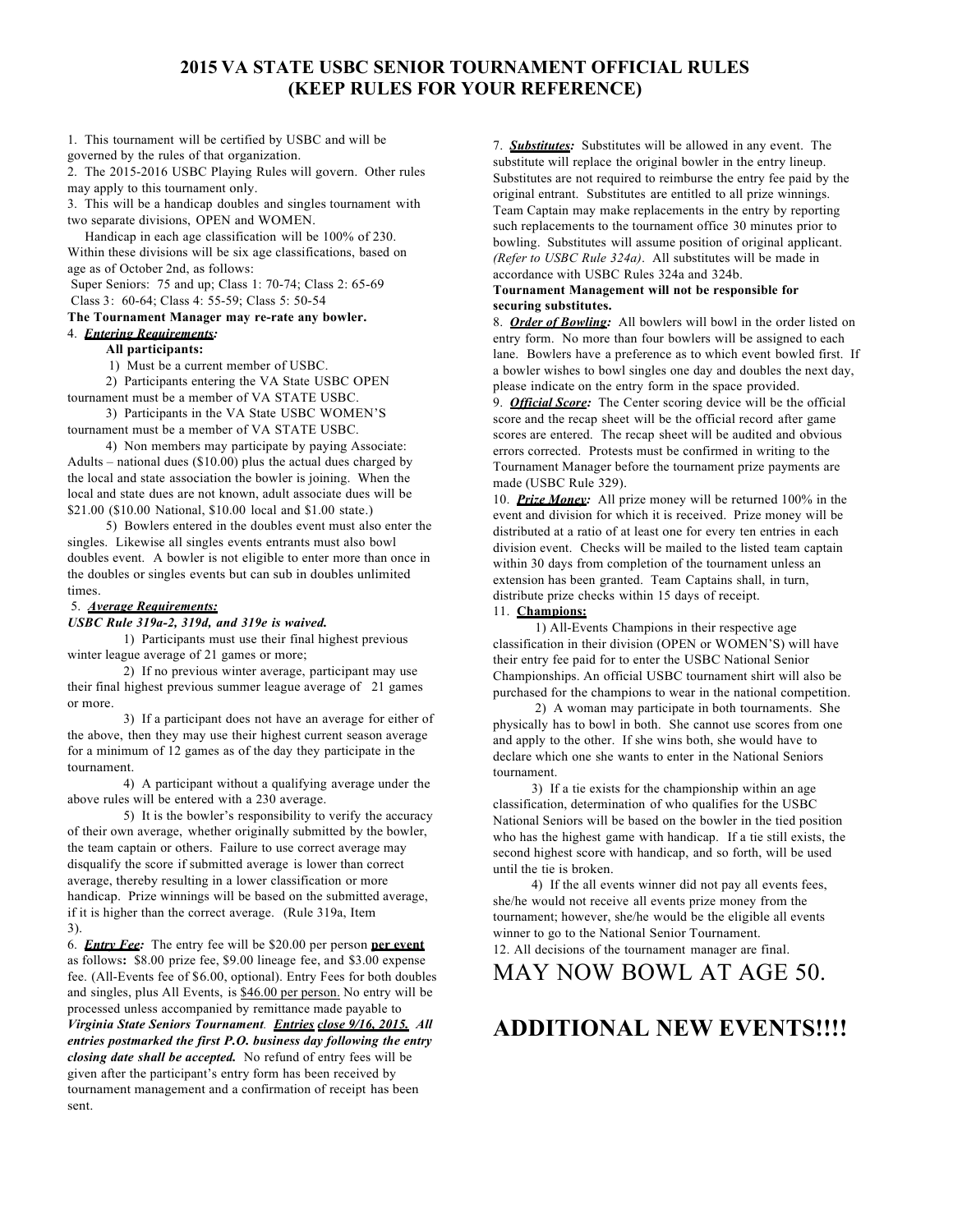### **2015 VA STATE USBC SENIOR TOURNAMENT OFFICIAL RULES (KEEP RULES FOR YOUR REFERENCE)**

1. This tournament will be certified by USBC and will be governed by the rules of that organization.

2. The 2015-2016 USBC Playing Rules will govern. Other rules may apply to this tournament only.

3. This will be a handicap doubles and singles tournament with two separate divisions, OPEN and WOMEN.

Handicap in each age classification will be 100% of 230. Within these divisions will be six age classifications, based on age as of October 2nd, as follows:

Super Seniors: 75 and up; Class 1: 70-74; Class 2: 65-69 Class 3: 60-64; Class 4: 55-59; Class 5: 50-54

#### **The Tournament Manager may re-rate any bowler.**

4. *Entering Requirements:*

#### **All participants:**

1) Must be a current member of USBC.

2) Participants entering the VA State USBC OPEN tournament must be a member of VA STATE USBC.

3) Participants in the VA State USBC WOMEN'S tournament must be a member of VA STATE USBC.

4) Non members may participate by paying Associate: Adults – national dues (\$10.00) plus the actual dues charged by the local and state association the bowler is joining. When the local and state dues are not known, adult associate dues will be \$21.00 (\$10.00 National, \$10.00 local and \$1.00 state.)

5) Bowlers entered in the doubles event must also enter the singles. Likewise all singles events entrants must also bowl doubles event. A bowler is not eligible to enter more than once in the doubles or singles events but can sub in doubles unlimited times.

#### 5. *Average Requirements:*

#### *USBC Rule 319a-2, 319d, and 319e is waived.*

1) Participants must use their final highest previous winter league average of 21 games or more;

2) If no previous winter average, participant may use their final highest previous summer league average of 21 games or more.

3) If a participant does not have an average for either of the above, then they may use their highest current season average for a minimum of 12 games as of the day they participate in the tournament.

4) A participant without a qualifying average under the above rules will be entered with a 230 average.

5) It is the bowler's responsibility to verify the accuracy of their own average, whether originally submitted by the bowler, the team captain or others. Failure to use correct average may disqualify the score if submitted average is lower than correct average, thereby resulting in a lower classification or more handicap. Prize winnings will be based on the submitted average, if it is higher than the correct average. (Rule 319a, Item 3).

6. *Entry Fee:* The entry fee will be \$20.00 per person **per event** as follows**:** \$8.00 prize fee, \$9.00 lineage fee, and \$3.00 expense fee. (All-Events fee of \$6.00, optional). Entry Fees for both doubles and singles, plus All Events, is \$46.00 per person. No entry will be processed unless accompanied by remittance made payable to *Virginia State Seniors Tournament. Entries close 9/16, 2015. All entries postmarked the first P.O. business day following the entry closing date shall be accepted.* No refund of entry fees will be given after the participant's entry form has been received by tournament management and a confirmation of receipt has been sent.

7. *Substitutes:* Substitutes will be allowed in any event. The substitute will replace the original bowler in the entry lineup. Substitutes are not required to reimburse the entry fee paid by the original entrant. Substitutes are entitled to all prize winnings. Team Captain may make replacements in the entry by reporting such replacements to the tournament office 30 minutes prior to bowling. Substitutes will assume position of original applicant. *(Refer to USBC Rule 324a)*. All substitutes will be made in accordance with USBC Rules 324a and 324b.

#### **Tournament Management will not be responsible for securing substitutes.**

8. *Order of Bowling:* All bowlers will bowl in the order listed on entry form. No more than four bowlers will be assigned to each lane. Bowlers have a preference as to which event bowled first. If a bowler wishes to bowl singles one day and doubles the next day, please indicate on the entry form in the space provided.

9. *Official Score:* The Center scoring device will be the official score and the recap sheet will be the official record after game scores are entered. The recap sheet will be audited and obvious errors corrected. Protests must be confirmed in writing to the Tournament Manager before the tournament prize payments are made (USBC Rule 329).

10. *Prize Money:* All prize money will be returned 100% in the event and division for which it is received. Prize money will be distributed at a ratio of at least one for every ten entries in each division event. Checks will be mailed to the listed team captain within 30 days from completion of the tournament unless an extension has been granted. Team Captains shall, in turn, distribute prize checks within 15 days of receipt.

#### 11. **Champions:**

1) All-Events Champions in their respective age classification in their division (OPEN or WOMEN'S) will have their entry fee paid for to enter the USBC National Senior Championships. An official USBC tournament shirt will also be purchased for the champions to wear in the national competition.

2) A woman may participate in both tournaments. She physically has to bowl in both. She cannot use scores from one and apply to the other. If she wins both, she would have to declare which one she wants to enter in the National Seniors tournament.

3) If a tie exists for the championship within an age classification, determination of who qualifies for the USBC National Seniors will be based on the bowler in the tied position who has the highest game with handicap. If a tie still exists, the second highest score with handicap, and so forth, will be used until the tie is broken.

4) If the all events winner did not pay all events fees, she/he would not receive all events prize money from the tournament; however, she/he would be the eligible all events winner to go to the National Senior Tournament. 12. All decisions of the tournament manager are final.

### MAY NOW BOWL AT AGE 50.

# **ADDITIONAL NEW EVENTS!!!!**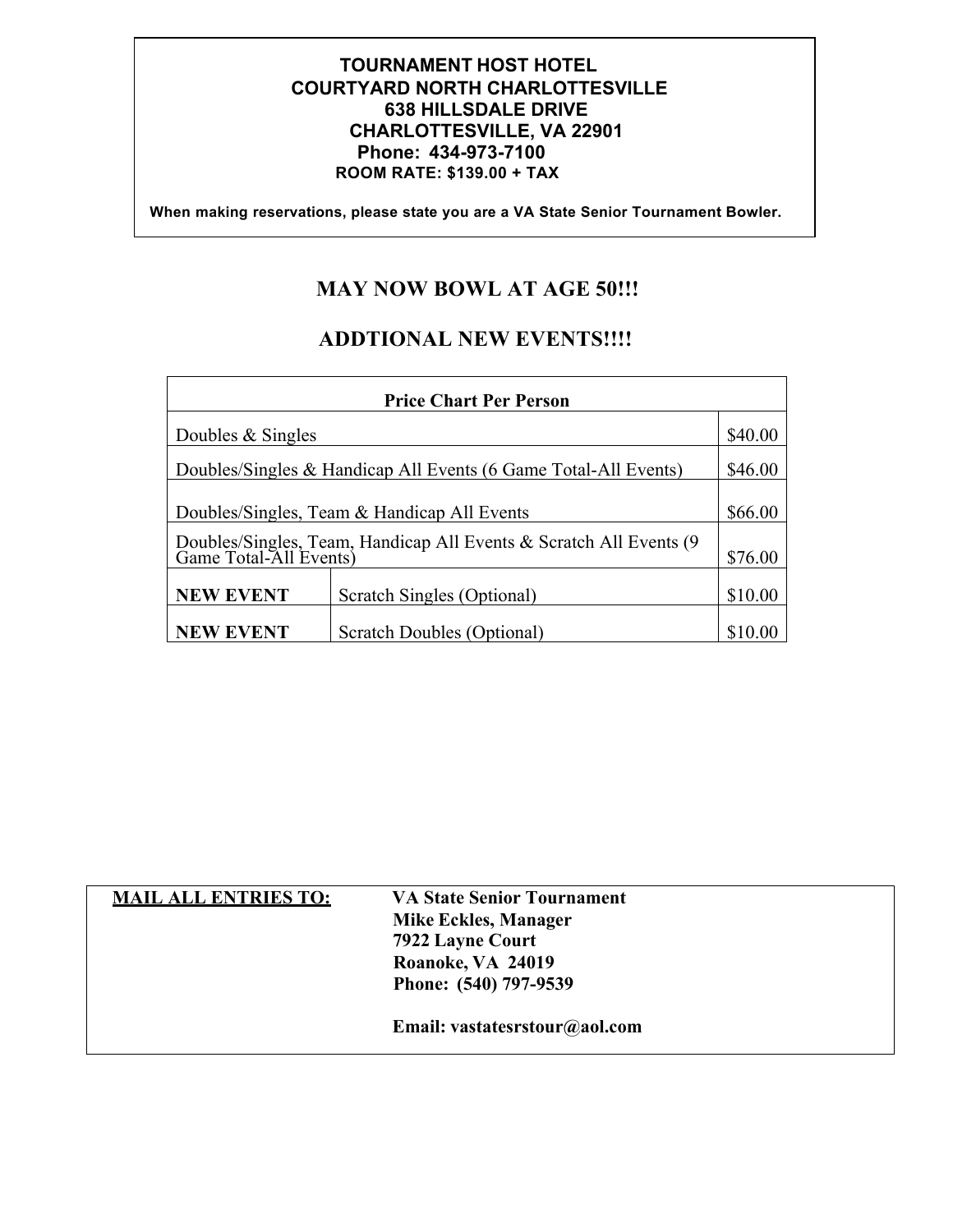### **TOURNAMENT HOST HOTEL COURTYARD NORTH CHARLOTTESVILLE 638 HILLSDALE DRIVE CHARLOTTESVILLE, VA 22901 Phone: 434-973-7100 ROOM RATE: \$139.00 + TAX**

 **When making reservations, please state you are a VA State Senior Tournament Bowler.**

# **MAY NOW BOWL AT AGE 50!!!**

# **ADDTIONAL NEW EVENTS!!!!**

| <b>Price Chart Per Person</b>                                                             |                                                                 |                    |  |  |  |
|-------------------------------------------------------------------------------------------|-----------------------------------------------------------------|--------------------|--|--|--|
| Doubles & Singles                                                                         |                                                                 | \$40.00            |  |  |  |
|                                                                                           | Doubles/Singles & Handicap All Events (6 Game Total-All Events) | \$46.00            |  |  |  |
|                                                                                           | Doubles/Singles, Team & Handicap All Events                     | \$66.00            |  |  |  |
| Doubles/Singles, Team, Handicap All Events & Scratch All Events (9 Game Total-All Events) |                                                                 |                    |  |  |  |
| <b>NEW EVENT</b>                                                                          | Scratch Singles (Optional)                                      | \$76.00<br>\$10.00 |  |  |  |
| <b>NEW EVENT</b>                                                                          | Scratch Doubles (Optional)                                      |                    |  |  |  |

| <b>MAIL ALL ENTRIES TO:</b> | <b>VA State Senior Tournament</b> |
|-----------------------------|-----------------------------------|
|                             | Mike Eckles, Manager              |
|                             | 7922 Layne Court                  |
|                             | Roanoke, VA 24019                 |
|                             | Phone: (540) 797-9539             |
|                             |                                   |
|                             | Email: vastatesrstour@aol.com     |
|                             |                                   |